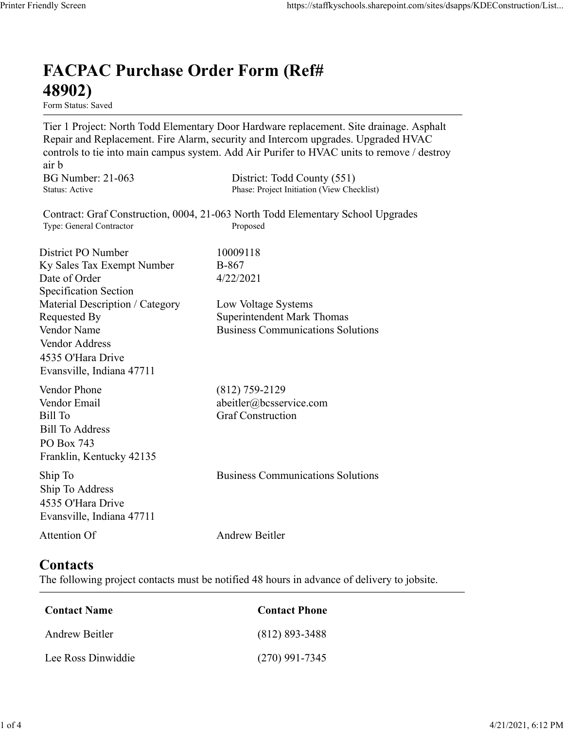## FACPAC Purchase Order Form (Ref# 48902)

Form Status: Saved

Tier 1 Project: North Todd Elementary Door Hardware replacement. Site drainage. Asphalt Repair and Replacement. Fire Alarm, security and Intercom upgrades. Upgraded HVAC controls to tie into main campus system. Add Air Purifer to HVAC units to remove / destroy air b https://staffkyschools.sharepoint.com/sites/dsapps/KDEConstructic<br> **FACPAC Purchase Order Form (Ref#**<br> **FECPAC Purchase Order Form (Ref#**<br>
Tier 1 Project: North Todd Elementary Door Hardware replacement. Site drainage. Asp https://staffkyschools.sharepoint.com/sites/dsapps/KDEConstructic<br> **FACPAC Purchase Order Form (Ref#**<br>
H8902)<br>
Form Status: Saved<br>
Fire 1 Project: North Todd Elementary Door Hardware replacement. Site drainage. Asphalt<br>
Re https://staffkyschools.sharepoint.com/sites/dsarps/KDFConstructic<br> **FACPAC Purchase Order Form (Ref#**<br>
Form Status: Saved<br>
Form Status: Saved<br>
Terp 1 Project: North Todd Elementary Door Hardware replacement. Site drainage. FACPAC Purchase Order Form (Ref#<br>
48902)<br>
Form Status: Saved<br>
Tier 1 Project: North Todd Elementary Door Hardware replacement. Site drainage. Asphalt<br>
Repair and Replacement. Fire Alarm, security and Intercom upgrades. Upg **FACPAC Purchase Order Form (Ref#**<br> **48902)**<br> **Eom Stans:** Saved<br> **Eom Stans:** Saved<br> **Evert Project:** North Todd Elementary Door Hardware replacement. Site drainage. As<br> **Explored HVAC** controls to tie into main campus s **FACPAC Purchase Order Form (Ref#** $\bf{48902}$ <br>
Form Status: Saved<br>
Tier 1 Project: North Todd Elementary Door Hardware replacement. Site drainage. Asphalt<br>
Tier 1 Project: North Todd Elementary Door Hardware replacement.

Contract: Graf Construction, 0004, 21-063 North Todd Elementary School Upgrades

Specification Section **FACPAC Purchase Order Form (Ref#**<br> **48902)**<br>
Form Status. Saved<br>
Term Status asved<br>
Term Project: North Todd Elementary Door Hardware replacement. Site drainage. Asphalt<br>
Tep and Replacement. Fire Alarm, security and Int **48902)**<br>
Form Status: Saved<br>
Tier 1 Project: North Todd Elementary Door Hardware replacement. Site drainage. Asphalt<br>
Repair and Replacement. Fire Alarm, security and Intercom upgrades. Upgraded HVAC<br>
econtrols to tie in **From States:**<br> **From States:**<br> **From States:**<br> **From States:**<br> **From States:**<br> **Repair and Replacement.** Fire Alarm, security and Intercom upgrades. Upgraded HVAC<br> **Repair and Replacement.** Fire Alarm, security and Interc Vendor Address 4535 O'Hara Drive Evansville, Indiana 47711 controls to the into main campus system. Add Air Puriter to HVAC units to remove / destroy<br>
air b<br>
air b<br>
BG Number: 21-063 District: Todd County (551)<br>
Status: Active<br>
Contract: Graf Construction, 0004, 21-063 North Todd ar b<br>
BG Number: 21-063 District: Todd County (551)<br>
Status: Active Phase: Project Initiation (View Checklist)<br>
Contract: Graf Construction, 0004, 21-063 North Todd Elementary School Upgrades<br>
Type: General Contraction<br>
Ex Bill Number: 21-063<br>
Bill Number<br>
Status: Active<br>
Status: Active<br>
Contract: Graf Construction, 0004, 21-063 North Todd Elementary School Upgrades<br>
Type: General Contractor<br>
District PO Number<br>
District PO Number<br>
Bill To G Bill To Address PO Box 743 Franklin, Kentucky 42135 District PO Number<br>
IS No Sales Tax Exempt Number<br>
IS No Gorder<br>
Specification Section<br>
Securication Section<br>
Material Description / Category<br>
In Material Description / Category<br>
Superintedient Mark Thomas<br>
Nondor Name<br>
Ve Ship To Address 4535 O'Hara Drive Evansville, Indiana 47711 Material Description / Category<br>
Requested By<br>
Requested By<br>
Nodor Name<br>
Vendor Name<br>
Vendor Address<br>
Vendor Address<br>
1433 O'Hara Drive<br>
Evansville, Indiana 47711<br>
Vendor Phone<br>
(812) 759-2129<br>
Vendor Phone<br>
(812) 759-2129 Example (812) 759-2129<br>
Fendor Email<br>
Fill To<br>
Fendor Email<br>
IIII To<br>
Elli To<br>
III To<br>
Contact Sample To<br>
Contact Construction<br>
In To<br>
Contact S35 O'Box 743<br>
SOS O'Hara Drive<br>
Vivarsville, Indiana 47711<br>
Andrew Beitler<br>
Co Vendor Email<br>
iill To<br>
Andress<br>
iill To<br>
Address<br>
O Box 743<br>
To<br>
No Do Box 743<br>
In p To<br>
Andrew Manucky 42135<br>
535 O'Hara Drive<br>
Vivansville, Indiana 47711<br>
Andrew Beitler<br> **Contact Server Drive**<br> **Contact Name<br>
Contact Ph** Sill To Address<br>
Co Box 743<br>
Co Ross 2<br>
Tranklin, Kentucky 42135<br>
hip To<br>
To Address<br>
S35 O'Hara Drive<br>
Vivansville, Indiana 47711<br>
Andrew Beitler<br> **ContactS**<br>
he following project contacts must be notified 48 hours in adv

## **Contacts**

The following project contacts must be notified 48 hours in advance of delivery to jobsite.

| <b>Contact Name</b> | <b>Contact Phone</b> |
|---------------------|----------------------|
| Andrew Beitler      | $(812) 893 - 3488$   |
| Lee Ross Dinwiddie  | $(270)$ 991-7345     |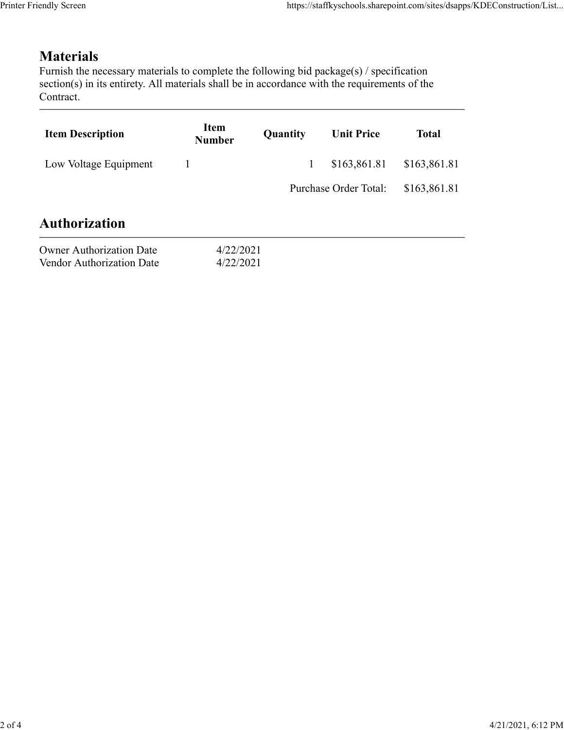## **Materials**

|                                                                                                                                                                                                                            |                              |          | https://staffkyschools.sharepoint.com/sites/dsapps/KDEConstruction/List |              |
|----------------------------------------------------------------------------------------------------------------------------------------------------------------------------------------------------------------------------|------------------------------|----------|-------------------------------------------------------------------------|--------------|
|                                                                                                                                                                                                                            |                              |          |                                                                         |              |
| <b>Materials</b><br>Furnish the necessary materials to complete the following bid package(s) / specification<br>section(s) in its entirety. All materials shall be in accordance with the requirements of the<br>Contract. |                              |          |                                                                         |              |
| <b>Item Description</b>                                                                                                                                                                                                    | <b>Item</b><br><b>Number</b> | Quantity | <b>Unit Price</b>                                                       | <b>Total</b> |
| Low Voltage Equipment                                                                                                                                                                                                      | $\mathbf{1}$                 | 1        | \$163,861.81                                                            | \$163,861.81 |
|                                                                                                                                                                                                                            |                              |          | Purchase Order Total:                                                   | \$163,861.81 |
|                                                                                                                                                                                                                            |                              |          |                                                                         |              |
| <b>Authorization</b>                                                                                                                                                                                                       |                              |          |                                                                         |              |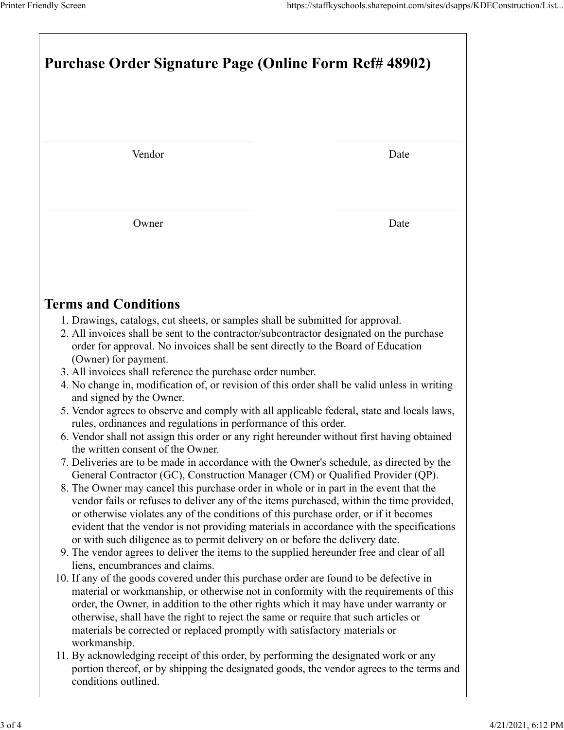|                                                                                                                                                                                                                                                                                                                                                                                                                                                                                                                                                                                                                                                                                                                                                                                                                                                                                                                                                                                                                                                                                                                                                                                                                                                                                                                                                                                                                                                                                                                                                                                                                                                                                                                                                                                                                                                                                                                                                                                                                                                                                                                      | Purchase Order Signature Page (Online Form Ref# 48902) |  |  |  |  |
|----------------------------------------------------------------------------------------------------------------------------------------------------------------------------------------------------------------------------------------------------------------------------------------------------------------------------------------------------------------------------------------------------------------------------------------------------------------------------------------------------------------------------------------------------------------------------------------------------------------------------------------------------------------------------------------------------------------------------------------------------------------------------------------------------------------------------------------------------------------------------------------------------------------------------------------------------------------------------------------------------------------------------------------------------------------------------------------------------------------------------------------------------------------------------------------------------------------------------------------------------------------------------------------------------------------------------------------------------------------------------------------------------------------------------------------------------------------------------------------------------------------------------------------------------------------------------------------------------------------------------------------------------------------------------------------------------------------------------------------------------------------------------------------------------------------------------------------------------------------------------------------------------------------------------------------------------------------------------------------------------------------------------------------------------------------------------------------------------------------------|--------------------------------------------------------|--|--|--|--|
| Vendor                                                                                                                                                                                                                                                                                                                                                                                                                                                                                                                                                                                                                                                                                                                                                                                                                                                                                                                                                                                                                                                                                                                                                                                                                                                                                                                                                                                                                                                                                                                                                                                                                                                                                                                                                                                                                                                                                                                                                                                                                                                                                                               | Date                                                   |  |  |  |  |
|                                                                                                                                                                                                                                                                                                                                                                                                                                                                                                                                                                                                                                                                                                                                                                                                                                                                                                                                                                                                                                                                                                                                                                                                                                                                                                                                                                                                                                                                                                                                                                                                                                                                                                                                                                                                                                                                                                                                                                                                                                                                                                                      |                                                        |  |  |  |  |
| Owner                                                                                                                                                                                                                                                                                                                                                                                                                                                                                                                                                                                                                                                                                                                                                                                                                                                                                                                                                                                                                                                                                                                                                                                                                                                                                                                                                                                                                                                                                                                                                                                                                                                                                                                                                                                                                                                                                                                                                                                                                                                                                                                | Date                                                   |  |  |  |  |
| <b>Terms and Conditions</b>                                                                                                                                                                                                                                                                                                                                                                                                                                                                                                                                                                                                                                                                                                                                                                                                                                                                                                                                                                                                                                                                                                                                                                                                                                                                                                                                                                                                                                                                                                                                                                                                                                                                                                                                                                                                                                                                                                                                                                                                                                                                                          |                                                        |  |  |  |  |
| 1. Drawings, catalogs, cut sheets, or samples shall be submitted for approval.<br>2. All invoices shall be sent to the contractor/subcontractor designated on the purchase<br>order for approval. No invoices shall be sent directly to the Board of Education<br>(Owner) for payment.<br>3. All invoices shall reference the purchase order number.<br>4. No change in, modification of, or revision of this order shall be valid unless in writing<br>and signed by the Owner.<br>5. Vendor agrees to observe and comply with all applicable federal, state and locals laws,<br>rules, ordinances and regulations in performance of this order.<br>6. Vendor shall not assign this order or any right hereunder without first having obtained<br>the written consent of the Owner.<br>7. Deliveries are to be made in accordance with the Owner's schedule, as directed by the<br>General Contractor (GC), Construction Manager (CM) or Qualified Provider (QP).<br>8. The Owner may cancel this purchase order in whole or in part in the event that the<br>vendor fails or refuses to deliver any of the items purchased, within the time provided,<br>or otherwise violates any of the conditions of this purchase order, or if it becomes<br>evident that the vendor is not providing materials in accordance with the specifications<br>or with such diligence as to permit delivery on or before the delivery date.<br>9. The vendor agrees to deliver the items to the supplied hereunder free and clear of all<br>liens, encumbrances and claims.<br>10. If any of the goods covered under this purchase order are found to be defective in<br>material or workmanship, or otherwise not in conformity with the requirements of this<br>order, the Owner, in addition to the other rights which it may have under warranty or<br>otherwise, shall have the right to reject the same or require that such articles or<br>materials be corrected or replaced promptly with satisfactory materials or<br>workmanship.<br>11. By acknowledging receipt of this order, by performing the designated work or any |                                                        |  |  |  |  |